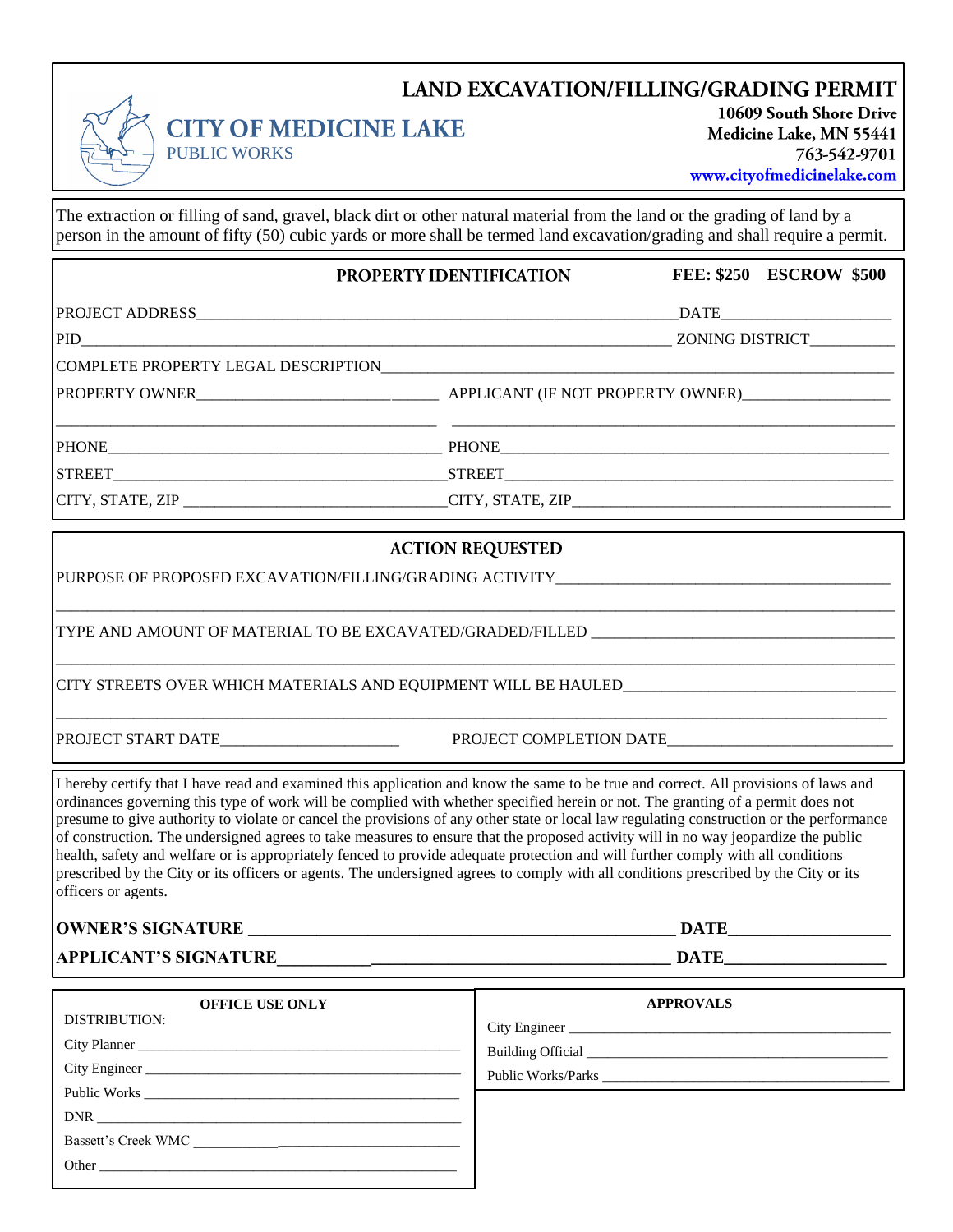## **LAND EXCAVATION/FILLING/GRADING PERMIT**



**CITY OF MEDICINE LAKE** 

10609 South Shore Drive Medicine Lake, MN 55441 763-542-9701 www.cityofmedicinelake.com

**FEE: \$250 ESCROW \$500**

The extraction or filling of sand, gravel, black dirt or other natural material from the land or the grading of land by a person in the amount of fifty (50) cubic yards or more shall be termed land excavation/grading and shall require a permit.

#### PROPERTY IDENTIFICATION

PROJECT ADDRESS\_\_\_\_\_\_\_\_\_\_\_\_\_\_\_\_\_\_\_\_\_\_\_\_\_\_\_\_\_\_\_\_\_\_\_\_\_\_\_\_\_\_\_\_\_\_\_\_\_\_\_\_\_\_\_\_\_\_\_\_\_\_DATE\_\_\_\_\_\_\_\_\_\_\_\_\_\_\_\_\_\_\_\_\_\_

PID\_\_\_\_\_\_\_\_\_\_\_\_\_\_\_\_\_\_\_\_\_\_\_\_\_\_\_\_\_\_\_\_\_\_\_\_\_\_\_\_\_\_\_\_\_\_\_\_\_\_\_\_\_\_\_\_\_\_\_\_\_\_\_\_\_\_\_\_\_\_\_\_\_\_\_\_ ZONING DISTRICT\_\_\_\_\_\_\_\_\_\_\_

COMPLETE PROPERTY LEGAL DESCRIPTION

PUBLIC WORKS

PROPERTY OWNER\_\_\_\_\_\_\_\_\_\_\_\_\_\_\_\_\_\_\_\_\_\_\_\_\_\_\_\_\_\_\_ APPLICANT (IF NOT PROPERTY OWNER)\_\_\_\_\_\_\_\_\_\_\_\_\_\_\_\_\_\_\_

\_\_\_\_\_\_\_\_\_\_\_\_\_\_\_\_\_\_\_\_\_\_\_\_\_\_\_\_\_\_\_\_\_\_\_\_\_\_\_\_\_\_\_\_\_\_\_\_\_ \_\_\_\_\_\_\_\_\_\_\_\_\_\_\_\_\_\_\_\_\_\_\_\_\_\_\_\_\_\_\_\_\_\_\_\_\_\_\_\_\_\_\_\_\_\_\_\_\_\_\_\_\_\_\_\_\_

PHONE THE PHONE

CITY, STATE, ZIP \_\_\_\_\_\_\_\_\_\_\_\_\_\_\_\_\_\_\_\_\_\_\_\_\_\_\_\_\_\_\_\_\_\_CITY, STATE, ZIP\_\_\_\_\_\_\_\_\_\_\_\_\_\_\_\_\_\_\_\_\_\_\_\_\_\_\_\_\_\_\_\_\_\_\_\_\_\_\_\_\_

STREET\_\_\_\_\_\_\_\_\_\_\_\_\_\_\_\_\_\_\_\_\_\_\_\_\_\_\_\_\_\_\_\_\_\_\_\_\_\_\_\_\_\_\_STREET\_\_\_\_\_\_\_\_\_\_\_\_\_\_\_\_\_\_\_\_\_\_\_\_\_\_\_\_\_\_\_\_\_\_\_\_\_\_\_\_\_\_\_\_\_\_\_\_\_\_

### **ACTION REQUESTED**

\_\_\_\_\_\_\_\_\_\_\_\_\_\_\_\_\_\_\_\_\_\_\_\_\_\_\_\_\_\_\_\_\_\_\_\_\_\_\_\_\_\_\_\_\_\_\_\_\_\_\_\_\_\_\_\_\_\_\_\_\_\_\_\_\_\_\_\_\_\_\_\_\_\_\_\_\_\_\_\_\_\_\_\_\_\_\_\_\_\_\_\_\_\_\_\_\_\_\_\_\_\_\_\_\_\_\_\_

\_\_\_\_\_\_\_\_\_\_\_\_\_\_\_\_\_\_\_\_\_\_\_\_\_\_\_\_\_\_\_\_\_\_\_\_\_\_\_\_\_\_\_\_\_\_\_\_\_\_\_\_\_\_\_\_\_\_\_\_\_\_\_\_\_\_\_\_\_\_\_\_\_\_\_\_\_\_\_\_\_\_\_\_\_\_\_\_\_\_\_\_\_\_\_\_\_\_\_\_\_\_\_\_\_\_\_\_

\_\_\_\_\_\_\_\_\_\_\_\_\_\_\_\_\_\_\_\_\_\_\_\_\_\_\_\_\_\_\_\_\_\_\_\_\_\_\_\_\_\_\_\_\_\_\_\_\_\_\_\_\_\_\_\_\_\_\_\_\_\_\_\_\_\_\_\_\_\_\_\_\_\_\_\_\_\_\_\_\_\_\_\_\_\_\_\_\_\_\_\_\_\_\_\_\_\_\_\_\_\_\_\_\_\_\_

PURPOSE OF PROPOSED EXCAVATION/FILLING/GRADING ACTIVITY\_\_\_\_\_\_\_\_\_\_\_\_\_\_\_\_\_\_\_\_\_\_\_\_\_

TYPE AND AMOUNT OF MATERIAL TO BE EXCAVATED/GRADED/FILLED \_\_\_\_\_\_\_\_\_\_\_\_\_\_\_\_\_\_\_\_\_\_

CITY STREETS OVER WHICH MATERIALS AND EQUIPMENT WILL BE HAULED

PROJECT START DATE PROJECT COMPLETION DATE

I hereby certify that I have read and examined this application and know the same to be true and correct. All provisions of laws and ordinances governing this type of work will be complied with whether specified herein or not. The granting of a permit does not presume to give authority to violate or cancel the provisions of any other state or local law regulating construction or the performance of construction. The undersigned agrees to take measures to ensure that the proposed activity will in no way jeopardize the public health, safety and welfare or is appropriately fenced to provide adequate protection and will further comply with all conditions prescribed by the City or its officers or agents. The undersigned agrees to comply with all conditions prescribed by the City or its officers or agents.

**OWNER'S SIGNATURE \_\_\_\_\_\_\_\_\_\_\_\_\_\_\_\_\_\_\_\_\_\_\_\_\_\_\_\_\_\_\_\_\_\_\_\_\_\_\_\_\_\_\_\_\_\_\_\_\_\_ DATE\_\_\_\_\_\_\_\_\_\_\_\_\_\_\_\_\_\_\_**

**APPLICANT'S SIGNATURE\_\_\_\_\_\_\_\_\_\_\_\_\_\_\_\_\_\_\_\_\_\_\_\_\_\_\_\_\_\_\_\_\_\_\_\_\_\_\_\_\_\_\_\_\_\_ DATE\_\_\_\_\_\_\_\_\_\_\_\_\_\_\_\_\_\_\_**

| <b>OFFICE USE ONLY</b>                                                                                                                                                                                                         | <b>APPROVALS</b>                                                                                                                                                                                                               |
|--------------------------------------------------------------------------------------------------------------------------------------------------------------------------------------------------------------------------------|--------------------------------------------------------------------------------------------------------------------------------------------------------------------------------------------------------------------------------|
| DISTRIBUTION:                                                                                                                                                                                                                  |                                                                                                                                                                                                                                |
|                                                                                                                                                                                                                                | Building Official 2000 Communication of the United States and States and States and States and States and States and States and States and States and States and States and States and States and States and States and States |
|                                                                                                                                                                                                                                |                                                                                                                                                                                                                                |
|                                                                                                                                                                                                                                |                                                                                                                                                                                                                                |
|                                                                                                                                                                                                                                |                                                                                                                                                                                                                                |
|                                                                                                                                                                                                                                |                                                                                                                                                                                                                                |
| Other than the contract of the contract of the contract of the contract of the contract of the contract of the contract of the contract of the contract of the contract of the contract of the contract of the contract of the |                                                                                                                                                                                                                                |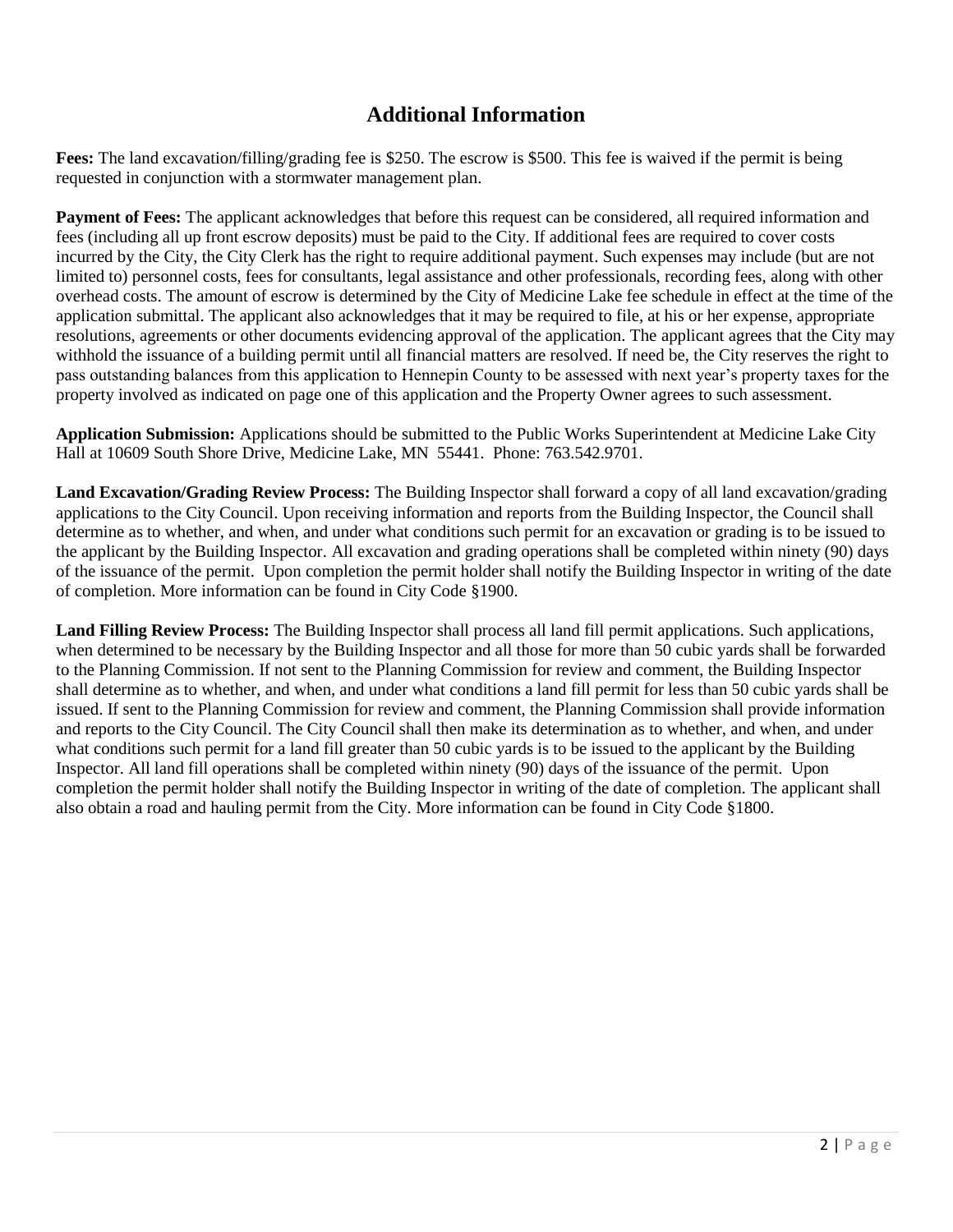## **Additional Information**

**Fees:** The land excavation/filling/grading fee is \$250. The escrow is \$500. This fee is waived if the permit is being requested in conjunction with a stormwater management plan.

**Payment of Fees:** The applicant acknowledges that before this request can be considered, all required information and fees (including all up front escrow deposits) must be paid to the City. If additional fees are required to cover costs incurred by the City, the City Clerk has the right to require additional payment. Such expenses may include (but are not limited to) personnel costs, fees for consultants, legal assistance and other professionals, recording fees, along with other overhead costs. The amount of escrow is determined by the City of Medicine Lake fee schedule in effect at the time of the application submittal. The applicant also acknowledges that it may be required to file, at his or her expense, appropriate resolutions, agreements or other documents evidencing approval of the application. The applicant agrees that the City may withhold the issuance of a building permit until all financial matters are resolved. If need be, the City reserves the right to pass outstanding balances from this application to Hennepin County to be assessed with next year's property taxes for the property involved as indicated on page one of this application and the Property Owner agrees to such assessment.

**Application Submission:** Applications should be submitted to the Public Works Superintendent at Medicine Lake City Hall at 10609 South Shore Drive, Medicine Lake, MN 55441. Phone: 763.542.9701.

**Land Excavation/Grading Review Process:** The Building Inspector shall forward a copy of all land excavation/grading applications to the City Council. Upon receiving information and reports from the Building Inspector, the Council shall determine as to whether, and when, and under what conditions such permit for an excavation or grading is to be issued to the applicant by the Building Inspector. All excavation and grading operations shall be completed within ninety (90) days of the issuance of the permit. Upon completion the permit holder shall notify the Building Inspector in writing of the date of completion. More information can be found in City Code §1900.

**Land Filling Review Process:** The Building Inspector shall process all land fill permit applications. Such applications, when determined to be necessary by the Building Inspector and all those for more than 50 cubic yards shall be forwarded to the Planning Commission. If not sent to the Planning Commission for review and comment, the Building Inspector shall determine as to whether, and when, and under what conditions a land fill permit for less than 50 cubic yards shall be issued. If sent to the Planning Commission for review and comment, the Planning Commission shall provide information and reports to the City Council. The City Council shall then make its determination as to whether, and when, and under what conditions such permit for a land fill greater than 50 cubic yards is to be issued to the applicant by the Building Inspector. All land fill operations shall be completed within ninety (90) days of the issuance of the permit. Upon completion the permit holder shall notify the Building Inspector in writing of the date of completion. The applicant shall also obtain a road and hauling permit from the City. More information can be found in City Code §1800.